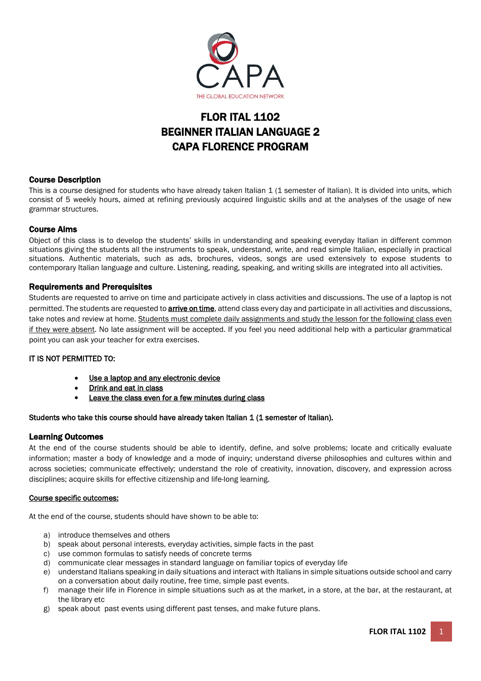

# FLOR ITAL 1102 BEGINNER ITALIAN LANGUAGE 2 CAPA FLORENCE PROGRAM

# Course Description

This is a course designed for students who have already taken Italian 1 (1 semester of Italian). It is divided into units, which consist of 5 weekly hours, aimed at refining previously acquired linguistic skills and at the analyses of the usage of new grammar structures.

# Course Aims

Object of this class is to develop the students' skills in understanding and speaking everyday Italian in different common situations giving the students all the instruments to speak, understand, write, and read simple Italian, especially in practical situations. Authentic materials, such as ads, brochures, videos, songs are used extensively to expose students to contemporary Italian language and culture. Listening, reading, speaking, and writing skills are integrated into all activities.

# Requirements and Prerequisites

Students are requested to arrive on time and participate actively in class activities and discussions. The use of a laptop is not permitted. The students are requested to **arrive on time**, attend class every day and participate in all activities and discussions, take notes and review at home. Students must complete daily assignments and study the lesson for the following class even if they were absent. No late assignment will be accepted. If you feel you need additional help with a particular grammatical point you can ask your teacher for extra exercises.

# IT IS NOT PERMITTED TO:

- Use a laptop and any electronic device
- Drink and eat in class
- Leave the class even for a few minutes during class

# Students who take this course should have already taken Italian 1 (1 semester of Italian).

# Learning Outcomes

At the end of the course students should be able to identify, define, and solve problems; locate and critically evaluate information; master a body of knowledge and a mode of inquiry; understand diverse philosophies and cultures within and across societies; communicate effectively; understand the role of creativity, innovation, discovery, and expression across disciplines; acquire skills for effective citizenship and life-long learning.

# Course specific outcomes:

At the end of the course, students should have shown to be able to:

- a) introduce themselves and others
- b) speak about personal interests, everyday activities, simple facts in the past
- c) use common formulas to satisfy needs of concrete terms
- d) communicate clear messages in standard language on familiar topics of everyday life
- e) understand Italians speaking in daily situations and interact with Italians in simple situations outside school and carry on a conversation about daily routine, free time, simple past events.
- f) manage their life in Florence in simple situations such as at the market, in a store, at the bar, at the restaurant, at the library etc
- g) speak about past events using different past tenses, and make future plans.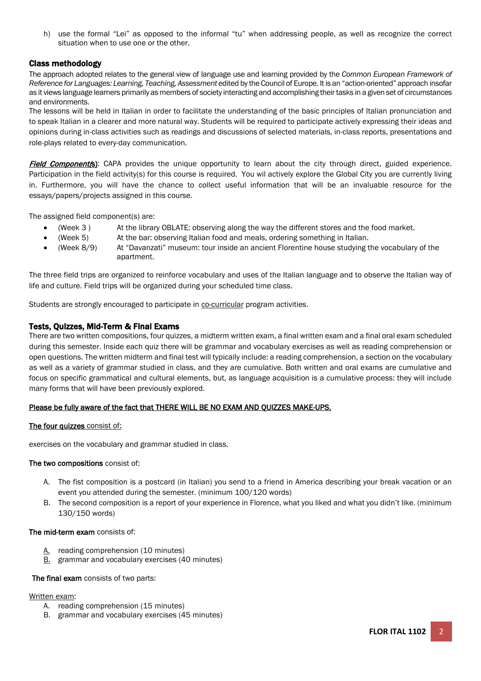h) use the formal "Lei" as opposed to the informal "tu" when addressing people, as well as recognize the correct situation when to use one or the other.

# Class methodology

The approach adopted relates to the general view of language use and learning provided by the *Common European Framework of Reference for Languages: Learning, Teaching, Assessment* edited by the Council of Europe. It is an "action-oriented" approach insofar as it views language learners primarily as members of society interacting and accomplishing their tasks in a given set of circumstances and environments.

The lessons will be held in Italian in order to facilitate the understanding of the basic principles of Italian pronunciation and to speak Italian in a clearer and more natural way. Students will be required to participate actively expressing their ideas and opinions during in-class activities such as readings and discussions of selected materials, in-class reports, presentations and role-plays related to every-day communication.

Field Component(s): CAPA provides the unique opportunity to learn about the city through direct, guided experience. Participation in the field activity(s) for this course is required. You wil actively explore the Global City you are currently living in. Furthermore, you will have the chance to collect useful information that will be an invaluable resource for the essays/papers/projects assigned in this course.

The assigned field component(s) are:

- (Week 3 ) At the library OBLATE: observing along the way the different stores and the food market.
- (Week 5) At the bar: observing Italian food and meals, ordering something in Italian.
- (Week 8/9) At "Davanzati" museum: tour inside an ancient Florentine house studying the vocabulary of the apartment.

The three field trips are organized to reinforce vocabulary and uses of the Italian language and to observe the Italian way of life and culture. Field trips will be organized during your scheduled time class.

Students are strongly encouraged to participate in co-curricular program activities.

# Tests, Quizzes, Mid-Term & Final Exams

There are two written compositions, four quizzes, a midterm written exam, a final written exam and a final oral exam scheduled during this semester. Inside each quiz there will be grammar and vocabulary exercises as well as reading comprehension or open questions. The written midterm and final test will typically include: a reading comprehension, a section on the vocabulary as well as a variety of grammar studied in class, and they are cumulative. Both written and oral exams are cumulative and focus on specific grammatical and cultural elements, but, as language acquisition is a cumulative process: they will include many forms that will have been previously explored.

# Please be fully aware of the fact that THERE WILL BE NO EXAM AND QUIZZES MAKE-UPS.

### The four quizzes consist of:

exercises on the vocabulary and grammar studied in class.

### The two compositions consist of:

- A. The fist composition is a postcard (in Italian) you send to a friend in America describing your break vacation or an event you attended during the semester. (minimum 100/120 words)
- B. The second composition is a report of your experience in Florence, what you liked and what you didn't like. (minimum 130/150 words)

### The mid-term exam consists of:

- A. reading comprehension (10 minutes)
- **B.** grammar and vocabulary exercises (40 minutes)

### The final exam consists of two parts:

# Written exam:

- A. reading comprehension (15 minutes)
- B. grammar and vocabulary exercises (45 minutes)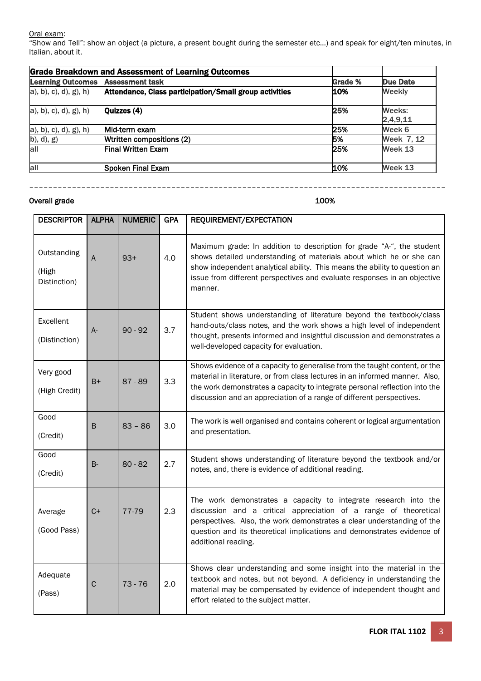# <u>Oral exam</u>:

"Show and Tell": show an object (a picture, a present bought during the semester etc…) and speak for eight/ten minutes, in Italian, about it.

| <b>Grade Breakdown and Assessment of Learning Outcomes</b> |                                                        |                |                    |  |  |
|------------------------------------------------------------|--------------------------------------------------------|----------------|--------------------|--|--|
| <b>Learning Outcomes</b>                                   | <b>Assessment task</b>                                 | <b>Grade %</b> | Due Date           |  |  |
| $a)$ , b), c), d), g), h)                                  | Attendance, Class participation/Small group activities | 10%            | <b>Weekly</b>      |  |  |
| a), b), c), d), g), h)                                     | Quizzes (4)                                            | 25%            | Weeks:<br>2,4,9,11 |  |  |
| a), b), c), d), g), h)                                     | Mid-term exam                                          | 25%            | Week 6             |  |  |
| (b), d), g)                                                | Wtritten compositions (2)                              | 5%             | Week 7, 12         |  |  |
| all                                                        | <b>Final Written Exam</b>                              | 25%            | Week 13            |  |  |
| all                                                        | Spoken Final Exam                                      | 10%            | Week 13            |  |  |

––––––––––––––––––––––––––––––––––––––––––––––––––––––––––––––––––––––––––––––––––––––––

# Overall grade 100%

| <b>DESCRIPTOR</b>                    | <b>ALPHA</b> | <b>NUMERIC</b> | <b>GPA</b> | REQUIREMENT/EXPECTATION                                                                                                                                                                                                                                                                                           |
|--------------------------------------|--------------|----------------|------------|-------------------------------------------------------------------------------------------------------------------------------------------------------------------------------------------------------------------------------------------------------------------------------------------------------------------|
| Outstanding<br>(High<br>Distinction) | А            | $93+$          | 4.0        | Maximum grade: In addition to description for grade "A-", the student<br>shows detailed understanding of materials about which he or she can<br>show independent analytical ability. This means the ability to question an<br>issue from different perspectives and evaluate responses in an objective<br>manner. |
| Excellent<br>(Distinction)           | $A-$         | $90 - 92$      | 3.7        | Student shows understanding of literature beyond the textbook/class<br>hand-outs/class notes, and the work shows a high level of independent<br>thought, presents informed and insightful discussion and demonstrates a<br>well-developed capacity for evaluation.                                                |
| Very good<br>(High Credit)           | B+           | $87 - 89$      | 3.3        | Shows evidence of a capacity to generalise from the taught content, or the<br>material in literature, or from class lectures in an informed manner. Also,<br>the work demonstrates a capacity to integrate personal reflection into the<br>discussion and an appreciation of a range of different perspectives.   |
| Good<br>(Credit)                     | B            | $83 - 86$      | 3.0        | The work is well organised and contains coherent or logical argumentation<br>and presentation.                                                                                                                                                                                                                    |
| Good<br>(Credit)                     | $B -$        | $80 - 82$      | 2.7        | Student shows understanding of literature beyond the textbook and/or<br>notes, and, there is evidence of additional reading.                                                                                                                                                                                      |
| Average<br>(Good Pass)               | $C+$         | 77-79          | 2.3        | The work demonstrates a capacity to integrate research into the<br>discussion and a critical appreciation of a range of theoretical<br>perspectives. Also, the work demonstrates a clear understanding of the<br>question and its theoretical implications and demonstrates evidence of<br>additional reading.    |
| Adequate<br>(Pass)                   | $\mathsf C$  | $73 - 76$      | 2.0        | Shows clear understanding and some insight into the material in the<br>textbook and notes, but not beyond. A deficiency in understanding the<br>material may be compensated by evidence of independent thought and<br>effort related to the subject matter.                                                       |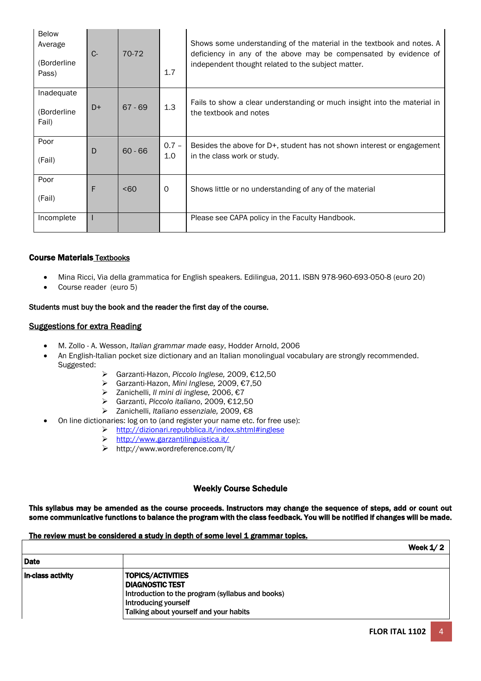| Below<br>Average<br>(Borderline<br>Pass) | $C -$ | 70-72            | 1.7            | Shows some understanding of the material in the textbook and notes. A<br>deficiency in any of the above may be compensated by evidence of<br>independent thought related to the subject matter. |
|------------------------------------------|-------|------------------|----------------|-------------------------------------------------------------------------------------------------------------------------------------------------------------------------------------------------|
| Inadequate<br>(Borderline<br>Fail)       | D+    | $67 - 69$        | 1.3            | Fails to show a clear understanding or much insight into the material in<br>the textbook and notes                                                                                              |
| Poor<br>(Fail)                           | D     | $60 - 66$        | $0.7 -$<br>1.0 | Besides the above for D+, student has not shown interest or engagement<br>in the class work or study.                                                                                           |
| Poor<br>(Fail)                           | F     | 50 <sub>60</sub> | $\circ$        | Shows little or no understanding of any of the material                                                                                                                                         |
| Incomplete                               |       |                  |                | Please see CAPA policy in the Faculty Handbook.                                                                                                                                                 |

# Course Materials Textbooks

- Mina Ricci, Via della grammatica for English speakers*.* Edilingua, 2011. ISBN 978-960-693-050-8 (euro 20)
- Course reader (euro 5)

## Students must buy the book and the reader the first day of the course.

### Suggestions for extra Reading

- M. Zollo A. Wesson, *Italian grammar made easy*, Hodder Arnold, 2006
- An English-Italian pocket size dictionary and an Italian monolingual vocabulary are strongly recommended. Suggested:
	- Garzanti-Hazon, *Piccolo Inglese,* 2009, €12,50
	- Garzanti-Hazon, *Mini Inglese,* 2009, €7,50
	- Zanichelli, *Il mini di inglese,* 2006, €7
	- Garzanti, *Piccolo italiano*, 2009, €12,50
	- Zanichelli, *Italiano essenziale,* 2009, €8
- On line dictionaries: log on to (and register your name etc. for free use):
	- <http://dizionari.repubblica.it/index.shtml#inglese>
	- <http://www.garzantilinguistica.it/>
	- http://www.wordreference.com/It/

### Weekly Course Schedule

This syllabus may be amended as the course proceeds. Instructors may change the sequence of steps, add or count out some communicative functions to balance the program with the class feedback. You will be notified if changes will be made.

### The review must be considered a study in depth of some level 1 grammar topics.

|                   | Week $1/2$                                                                                                                                                          |
|-------------------|---------------------------------------------------------------------------------------------------------------------------------------------------------------------|
| <b>Date</b>       |                                                                                                                                                                     |
| In-class activity | <b>TOPICS/ACTIVITIES</b><br>I DIAGNOSTIC TEST<br>Introduction to the program (syllabus and books)<br>Introducing yourself<br>Talking about yourself and your habits |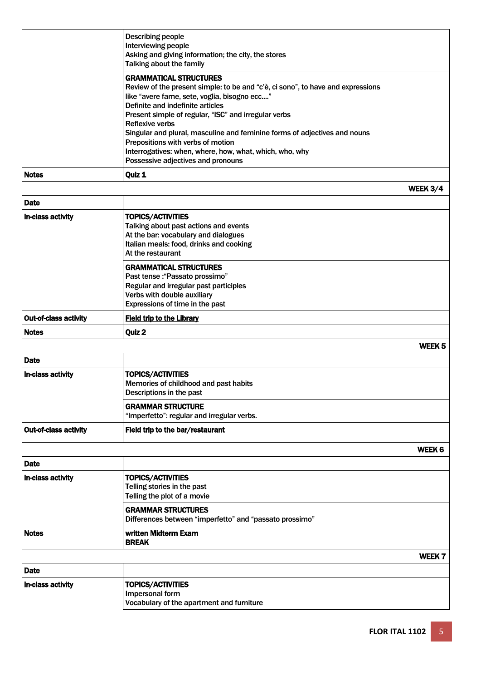|                              | <b>Describing people</b><br>Interviewing people<br>Asking and giving information; the city, the stores<br>Talking about the family                                                                                                                           |                 |
|------------------------------|--------------------------------------------------------------------------------------------------------------------------------------------------------------------------------------------------------------------------------------------------------------|-----------------|
|                              | <b>GRAMMATICAL STRUCTURES</b><br>Review of the present simple: to be and "c'è, ci sono", to have and expressions<br>like "avere fame, sete, voglia, bisogno ecc"<br>Definite and indefinite articles<br>Present simple of regular, "ISC" and irregular verbs |                 |
|                              | <b>Reflexive verbs</b><br>Singular and plural, masculine and feminine forms of adjectives and nouns<br>Prepositions with verbs of motion<br>Interrogatives: when, where, how, what, which, who, why                                                          |                 |
| <b>Notes</b>                 | Possessive adjectives and pronouns<br>Quiz 1                                                                                                                                                                                                                 |                 |
|                              |                                                                                                                                                                                                                                                              | <b>WEEK 3/4</b> |
| <b>Date</b>                  |                                                                                                                                                                                                                                                              |                 |
| <b>In-class activity</b>     | <b>TOPICS/ACTIVITIES</b><br>Talking about past actions and events<br>At the bar: vocabulary and dialogues<br>Italian meals: food, drinks and cooking<br>At the restaurant                                                                                    |                 |
|                              | <b>GRAMMATICAL STRUCTURES</b><br>Past tense : "Passato prossimo"<br>Regular and irregular past participles<br>Verbs with double auxiliary<br>Expressions of time in the past                                                                                 |                 |
| <b>Out-of-class activity</b> | <b>Field trip to the Library</b>                                                                                                                                                                                                                             |                 |
| <b>Notes</b>                 | Quiz 2                                                                                                                                                                                                                                                       |                 |
|                              |                                                                                                                                                                                                                                                              | WEEK 5          |
| <b>Date</b>                  |                                                                                                                                                                                                                                                              |                 |
| In-class activity            | <b>TOPICS/ACTIVITIES</b><br>Memories of childhood and past habits<br>Descriptions in the past                                                                                                                                                                |                 |
|                              | <b>GRAMMAR STRUCTURE</b><br>"Imperfetto": regular and irregular verbs.                                                                                                                                                                                       |                 |
| <b>Out-of-class activity</b> | Field trip to the bar/restaurant                                                                                                                                                                                                                             |                 |
|                              |                                                                                                                                                                                                                                                              | WEEK 6          |
| <b>Date</b>                  |                                                                                                                                                                                                                                                              |                 |
| In-class activity            | <b>TOPICS/ACTIVITIES</b><br>Telling stories in the past<br>Telling the plot of a movie                                                                                                                                                                       |                 |
|                              | <b>GRAMMAR STRUCTURES</b><br>Differences between "imperfetto" and "passato prossimo"                                                                                                                                                                         |                 |
| <b>Notes</b>                 | written Midterm Exam<br><b>BREAK</b>                                                                                                                                                                                                                         |                 |
|                              |                                                                                                                                                                                                                                                              | WEEK 7          |
| <b>Date</b>                  |                                                                                                                                                                                                                                                              |                 |
| In-class activity            | <b>TOPICS/ACTIVITIES</b><br>Impersonal form<br>Vocabulary of the apartment and furniture                                                                                                                                                                     |                 |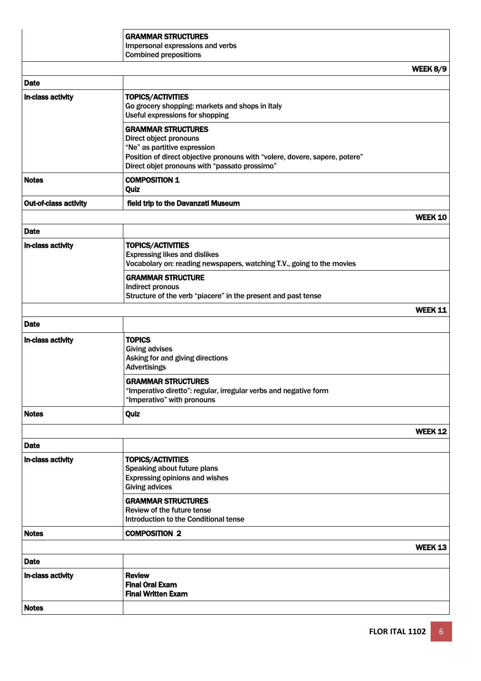|                              | <b>GRAMMAR STRUCTURES</b>                                                   |                |
|------------------------------|-----------------------------------------------------------------------------|----------------|
|                              | Impersonal expressions and verbs                                            |                |
|                              | <b>Combined prepositions</b>                                                |                |
|                              |                                                                             | WEEK 8/9       |
| <b>Date</b>                  |                                                                             |                |
| In-class activity            | <b>TOPICS/ACTIVITIES</b>                                                    |                |
|                              | Go grocery shopping: markets and shops in Italy                             |                |
|                              | Useful expressions for shopping                                             |                |
|                              | <b>GRAMMAR STRUCTURES</b>                                                   |                |
|                              | Direct object pronouns                                                      |                |
|                              | "Ne" as partitive expression                                                |                |
|                              | Position of direct objective pronouns with "volere, dovere, sapere, potere" |                |
|                              | Direct objet pronouns with "passato prossimo"                               |                |
| <b>Notes</b>                 | <b>COMPOSITION 1</b>                                                        |                |
|                              | Quiz                                                                        |                |
| <b>Out-of-class activity</b> | field trip to the Davanzati Museum                                          |                |
|                              |                                                                             | <b>WEEK 10</b> |
| <b>Date</b>                  |                                                                             |                |
| In-class activity            | <b>TOPICS/ACTIVITIES</b>                                                    |                |
|                              | <b>Expressing likes and dislikes</b>                                        |                |
|                              | Vocabolary on: reading newspapers, watching T.V., going to the movies       |                |
|                              | <b>GRAMMAR STRUCTURE</b>                                                    |                |
|                              | Indirect pronous                                                            |                |
|                              | Structure of the verb "piacere" in the present and past tense               |                |
|                              |                                                                             | WEEK 11        |
| <b>Date</b>                  |                                                                             |                |
| In-class activity            | <b>TOPICS</b>                                                               |                |
|                              | <b>Giving advises</b>                                                       |                |
|                              | Asking for and giving directions                                            |                |
|                              | <b>Advertisings</b>                                                         |                |
|                              | <b>GRAMMAR STRUCTURES</b>                                                   |                |
|                              | "Imperativo diretto": regular, irregular verbs and negative form            |                |
|                              | "Imperativo" with pronouns                                                  |                |
| <b>Notes</b>                 | Quiz                                                                        |                |
|                              |                                                                             | WEEK 12        |
| <b>Date</b>                  |                                                                             |                |
| In-class activity            | <b>TOPICS/ACTIVITIES</b>                                                    |                |
|                              | Speaking about future plans                                                 |                |
|                              | Expressing opinions and wishes                                              |                |
|                              | <b>Giving advices</b>                                                       |                |
|                              | <b>GRAMMAR STRUCTURES</b>                                                   |                |
|                              | Review of the future tense                                                  |                |
|                              | Introduction to the Conditional tense                                       |                |
| <b>Notes</b>                 | <b>COMPOSITION 2</b>                                                        |                |
|                              |                                                                             | WEEK 13        |
| <b>Date</b>                  |                                                                             |                |
| In-class activity            | <b>Review</b>                                                               |                |
|                              | <b>Final Oral Exam</b>                                                      |                |
|                              | <b>Final Written Exam</b>                                                   |                |
| <b>Notes</b>                 |                                                                             |                |